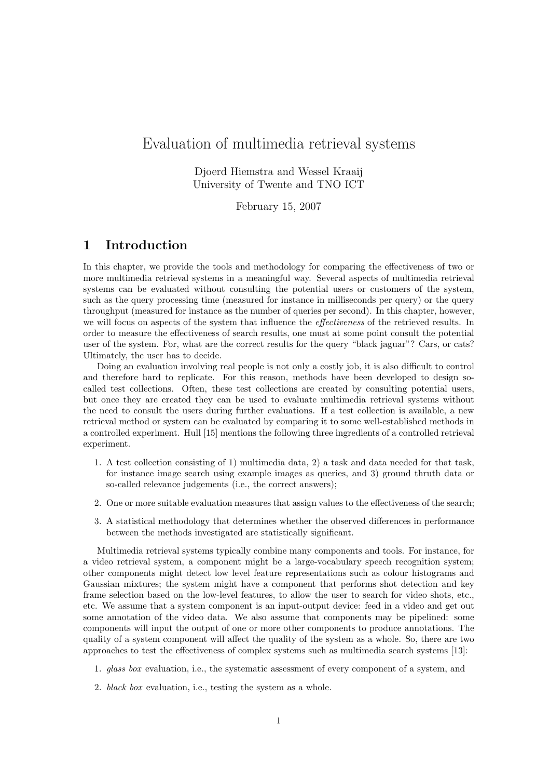# Evaluation of multimedia retrieval systems

Djoerd Hiemstra and Wessel Kraaij University of Twente and TNO ICT

February 15, 2007

# 1 Introduction

In this chapter, we provide the tools and methodology for comparing the effectiveness of two or more multimedia retrieval systems in a meaningful way. Several aspects of multimedia retrieval systems can be evaluated without consulting the potential users or customers of the system, such as the query processing time (measured for instance in milliseconds per query) or the query throughput (measured for instance as the number of queries per second). In this chapter, however, we will focus on aspects of the system that influence the *effectiveness* of the retrieved results. In order to measure the effectiveness of search results, one must at some point consult the potential user of the system. For, what are the correct results for the query "black jaguar"? Cars, or cats? Ultimately, the user has to decide.

Doing an evaluation involving real people is not only a costly job, it is also difficult to control and therefore hard to replicate. For this reason, methods have been developed to design socalled test collections. Often, these test collections are created by consulting potential users, but once they are created they can be used to evaluate multimedia retrieval systems without the need to consult the users during further evaluations. If a test collection is available, a new retrieval method or system can be evaluated by comparing it to some well-established methods in a controlled experiment. Hull [15] mentions the following three ingredients of a controlled retrieval experiment.

- 1. A test collection consisting of 1) multimedia data, 2) a task and data needed for that task, for instance image search using example images as queries, and 3) ground thruth data or so-called relevance judgements (i.e., the correct answers);
- 2. One or more suitable evaluation measures that assign values to the effectiveness of the search;
- 3. A statistical methodology that determines whether the observed differences in performance between the methods investigated are statistically significant.

Multimedia retrieval systems typically combine many components and tools. For instance, for a video retrieval system, a component might be a large-vocabulary speech recognition system; other components might detect low level feature representations such as colour histograms and Gaussian mixtures; the system might have a component that performs shot detection and key frame selection based on the low-level features, to allow the user to search for video shots, etc., etc. We assume that a system component is an input-output device: feed in a video and get out some annotation of the video data. We also assume that components may be pipelined: some components will input the output of one or more other components to produce annotations. The quality of a system component will affect the quality of the system as a whole. So, there are two approaches to test the effectiveness of complex systems such as multimedia search systems [13]:

- 1. glass box evaluation, i.e., the systematic assessment of every component of a system, and
- 2. black box evaluation, i.e., testing the system as a whole.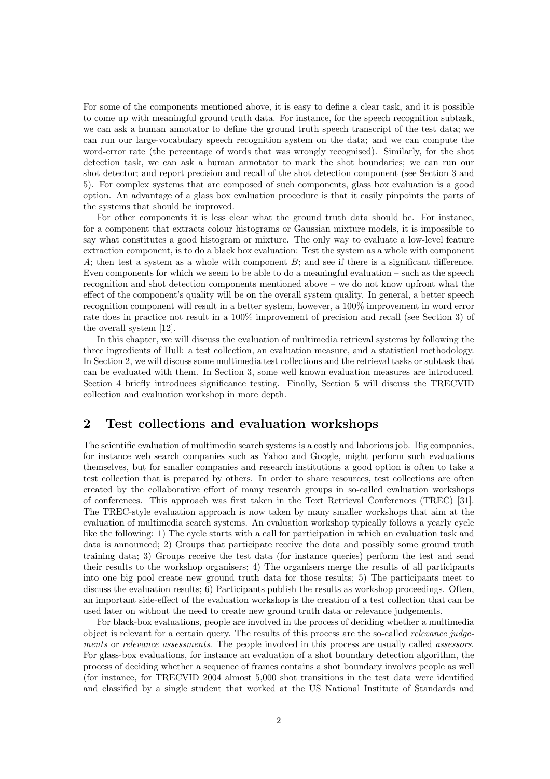For some of the components mentioned above, it is easy to define a clear task, and it is possible to come up with meaningful ground truth data. For instance, for the speech recognition subtask, we can ask a human annotator to define the ground truth speech transcript of the test data; we can run our large-vocabulary speech recognition system on the data; and we can compute the word-error rate (the percentage of words that was wrongly recognised). Similarly, for the shot detection task, we can ask a human annotator to mark the shot boundaries; we can run our shot detector; and report precision and recall of the shot detection component (see Section 3 and 5). For complex systems that are composed of such components, glass box evaluation is a good option. An advantage of a glass box evaluation procedure is that it easily pinpoints the parts of the systems that should be improved.

For other components it is less clear what the ground truth data should be. For instance, for a component that extracts colour histograms or Gaussian mixture models, it is impossible to say what constitutes a good histogram or mixture. The only way to evaluate a low-level feature extraction component, is to do a black box evaluation: Test the system as a whole with component A; then test a system as a whole with component  $B$ ; and see if there is a significant difference. Even components for which we seem to be able to do a meaningful evaluation – such as the speech recognition and shot detection components mentioned above – we do not know upfront what the effect of the component's quality will be on the overall system quality. In general, a better speech recognition component will result in a better system, however, a 100% improvement in word error rate does in practice not result in a 100% improvement of precision and recall (see Section 3) of the overall system [12].

In this chapter, we will discuss the evaluation of multimedia retrieval systems by following the three ingredients of Hull: a test collection, an evaluation measure, and a statistical methodology. In Section 2, we will discuss some multimedia test collections and the retrieval tasks or subtask that can be evaluated with them. In Section 3, some well known evaluation measures are introduced. Section 4 briefly introduces significance testing. Finally, Section 5 will discuss the TRECVID collection and evaluation workshop in more depth.

# 2 Test collections and evaluation workshops

The scientific evaluation of multimedia search systems is a costly and laborious job. Big companies, for instance web search companies such as Yahoo and Google, might perform such evaluations themselves, but for smaller companies and research institutions a good option is often to take a test collection that is prepared by others. In order to share resources, test collections are often created by the collaborative effort of many research groups in so-called evaluation workshops of conferences. This approach was first taken in the Text Retrieval Conferences (TREC) [31]. The TREC-style evaluation approach is now taken by many smaller workshops that aim at the evaluation of multimedia search systems. An evaluation workshop typically follows a yearly cycle like the following: 1) The cycle starts with a call for participation in which an evaluation task and data is announced; 2) Groups that participate receive the data and possibly some ground truth training data; 3) Groups receive the test data (for instance queries) perform the test and send their results to the workshop organisers; 4) The organisers merge the results of all participants into one big pool create new ground truth data for those results; 5) The participants meet to discuss the evaluation results; 6) Participants publish the results as workshop proceedings. Often, an important side-effect of the evaluation workshop is the creation of a test collection that can be used later on without the need to create new ground truth data or relevance judgements.

For black-box evaluations, people are involved in the process of deciding whether a multimedia object is relevant for a certain query. The results of this process are the so-called relevance judgements or relevance assessments. The people involved in this process are usually called assessors. For glass-box evaluations, for instance an evaluation of a shot boundary detection algorithm, the process of deciding whether a sequence of frames contains a shot boundary involves people as well (for instance, for TRECVID 2004 almost 5,000 shot transitions in the test data were identified and classified by a single student that worked at the US National Institute of Standards and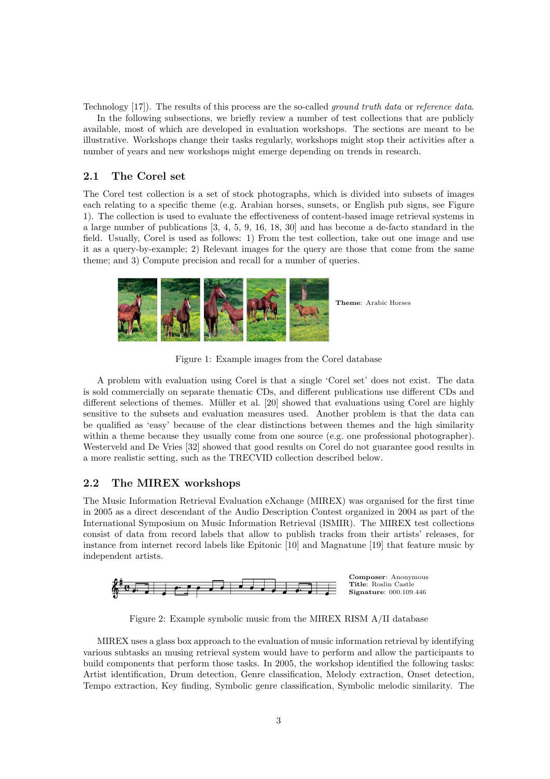Technology [17]). The results of this process are the so-called ground truth data or reference data.

In the following subsections, we briefly review a number of test collections that are publicly available, most of which are developed in evaluation workshops. The sections are meant to be illustrative. Workshops change their tasks regularly, workshops might stop their activities after a number of years and new workshops might emerge depending on trends in research.

### 2.1 The Corel set

The Corel test collection is a set of stock photographs, which is divided into subsets of images each relating to a specific theme (e.g. Arabian horses, sunsets, or English pub signs, see Figure 1). The collection is used to evaluate the effectiveness of content-based image retrieval systems in a large number of publications [3, 4, 5, 9, 16, 18, 30] and has become a de-facto standard in the field. Usually, Corel is used as follows: 1) From the test collection, take out one image and use it as a query-by-example; 2) Relevant images for the query are those that come from the same theme; and 3) Compute precision and recall for a number of queries.



Figure 1: Example images from the Corel database

A problem with evaluation using Corel is that a single 'Corel set' does not exist. The data is sold commercially on separate thematic CDs, and different publications use different CDs and different selections of themes. Müller et al.  $[20]$  showed that evaluations using Corel are highly sensitive to the subsets and evaluation measures used. Another problem is that the data can be qualified as 'easy' because of the clear distinctions between themes and the high similarity within a theme because they usually come from one source (e.g. one professional photographer). Westerveld and De Vries [32] showed that good results on Corel do not guarantee good results in a more realistic setting, such as the TRECVID collection described below.

### 2.2 The MIREX workshops

The Music Information Retrieval Evaluation eXchange (MIREX) was organised for the first time in 2005 as a direct descendant of the Audio Description Contest organized in 2004 as part of the International Symposium on Music Information Retrieval (ISMIR). The MIREX test collections consist of data from record labels that allow to publish tracks from their artists' releases, for instance from internet record labels like Epitonic [10] and Magnatune [19] that feature music by independent artists.



Figure 2: Example symbolic music from the MIREX RISM A/II database

MIREX uses a glass box approach to the evaluation of music information retrieval by identifying various subtasks an musing retrieval system would have to perform and allow the participants to build components that perform those tasks. In 2005, the workshop identified the following tasks: Artist identification, Drum detection, Genre classification, Melody extraction, Onset detection, Tempo extraction, Key finding, Symbolic genre classification, Symbolic melodic similarity. The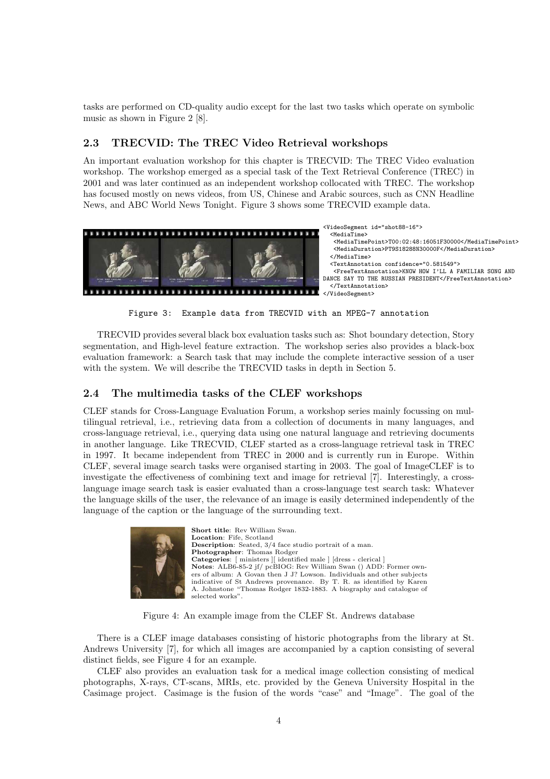tasks are performed on CD-quality audio except for the last two tasks which operate on symbolic music as shown in Figure 2 [8].

### 2.3 TRECVID: The TREC Video Retrieval workshops

An important evaluation workshop for this chapter is TRECVID: The TREC Video evaluation workshop. The workshop emerged as a special task of the Text Retrieval Conference (TREC) in 2001 and was later continued as an independent workshop collocated with TREC. The workshop has focused mostly on news videos, from US, Chinese and Arabic sources, such as CNN Headline News, and ABC World News Tonight. Figure 3 shows some TRECVID example data.



Figure 3: Example data from TRECVID with an MPEG-7 annotation

TRECVID provides several black box evaluation tasks such as: Shot boundary detection, Story segmentation, and High-level feature extraction. The workshop series also provides a black-box evaluation framework: a Search task that may include the complete interactive session of a user with the system. We will describe the TRECVID tasks in depth in Section 5.

### 2.4 The multimedia tasks of the CLEF workshops

CLEF stands for Cross-Language Evaluation Forum, a workshop series mainly focussing on multilingual retrieval, i.e., retrieving data from a collection of documents in many languages, and cross-language retrieval, i.e., querying data using one natural language and retrieving documents in another language. Like TRECVID, CLEF started as a cross-language retrieval task in TREC in 1997. It became independent from TREC in 2000 and is currently run in Europe. Within CLEF, several image search tasks were organised starting in 2003. The goal of ImageCLEF is to investigate the effectiveness of combining text and image for retrieval [7]. Interestingly, a crosslanguage image search task is easier evaluated than a cross-language test search task: Whatever the language skills of the user, the relevance of an image is easily determined independently of the language of the caption or the language of the surrounding text.



Short title: Rev William Swan. Location: Fife, Scotland Description: Seated,  $3/4$  face studio portrait of a man. Photographer: Thomas Rodger Categories: [ ministers ][ identified male ] [dress - clerical ] Notes: ALB6-85-2 jf/ pcBIOG: Rev William Swan () ADD: Former own-ers of album: A Govan then J J? Lowson. Individuals and other subjects indicative of St Andrews provenance. By T. R. as identified by Karen A. Johnstone "Thomas Rodger 1832-1883. A biography and catalogue of selected works".

Figure 4: An example image from the CLEF St. Andrews database

There is a CLEF image databases consisting of historic photographs from the library at St. Andrews University [7], for which all images are accompanied by a caption consisting of several distinct fields, see Figure 4 for an example.

CLEF also provides an evaluation task for a medical image collection consisting of medical photographs, X-rays, CT-scans, MRIs, etc. provided by the Geneva University Hospital in the Casimage project. Casimage is the fusion of the words "case" and "Image". The goal of the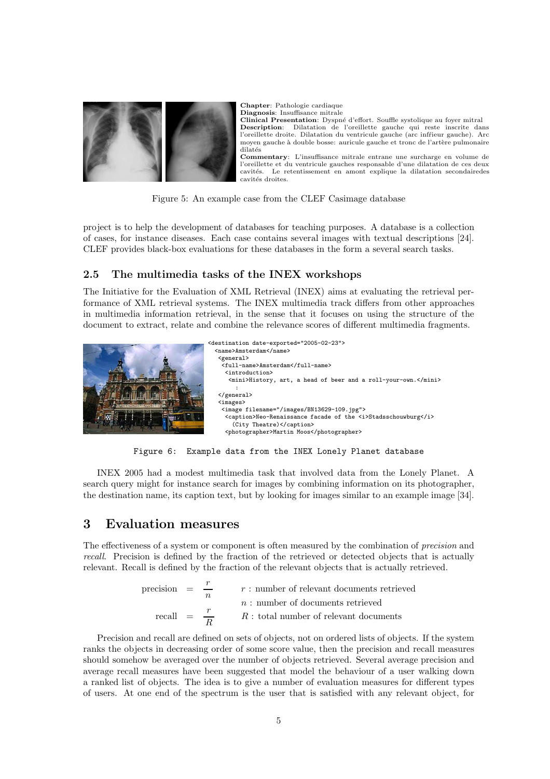

Chapter: Pathologie cardiaque Diagnosis: Insuffisance mitrale

Clinical Presentation: Dyspn´e d'effort. Souffle systolique au foyer mitral Description: Dilatation de l'oreillette gauche qui reste inscrite dans l'oreillette droite. Dilatation du ventricule gauche (arc infrieur gauche). Arc moyen gauche à double bosse: auricule gauche et tronc de l'artère pulmonaire dilatés

Commentary: L'insuffisance mitrale entrane une surcharge en volume de l'oreillette et du ventricule gauches responsable d'une dilatation de ces deux cavités. Le retentissement en amont explique la dilatation secondairedes cavités droites.

Figure 5: An example case from the CLEF Casimage database

project is to help the development of databases for teaching purposes. A database is a collection of cases, for instance diseases. Each case contains several images with textual descriptions [24]. CLEF provides black-box evaluations for these databases in the form a several search tasks.

### 2.5 The multimedia tasks of the INEX workshops

The Initiative for the Evaluation of XML Retrieval (INEX) aims at evaluating the retrieval performance of XML retrieval systems. The INEX multimedia track differs from other approaches in multimedia information retrieval, in the sense that it focuses on using the structure of the document to extract, relate and combine the relevance scores of different multimedia fragments.



Figure 6: Example data from the INEX Lonely Planet database

INEX 2005 had a modest multimedia task that involved data from the Lonely Planet. A search query might for instance search for images by combining information on its photographer, the destination name, its caption text, but by looking for images similar to an example image [34].

### 3 Evaluation measures

The effectiveness of a system or component is often measured by the combination of *precision* and recall. Precision is defined by the fraction of the retrieved or detected objects that is actually relevant. Recall is defined by the fraction of the relevant objects that is actually retrieved.

| $precision =$                 |  |  | $r:$ number of relevant documents retrieved |
|-------------------------------|--|--|---------------------------------------------|
|                               |  |  | $n:$ number of documents retrieved          |
| $\text{recall} = \frac{r}{r}$ |  |  | $R:$ total number of relevant documents     |

Precision and recall are defined on sets of objects, not on ordered lists of objects. If the system ranks the objects in decreasing order of some score value, then the precision and recall measures should somehow be averaged over the number of objects retrieved. Several average precision and average recall measures have been suggested that model the behaviour of a user walking down a ranked list of objects. The idea is to give a number of evaluation measures for different types of users. At one end of the spectrum is the user that is satisfied with any relevant object, for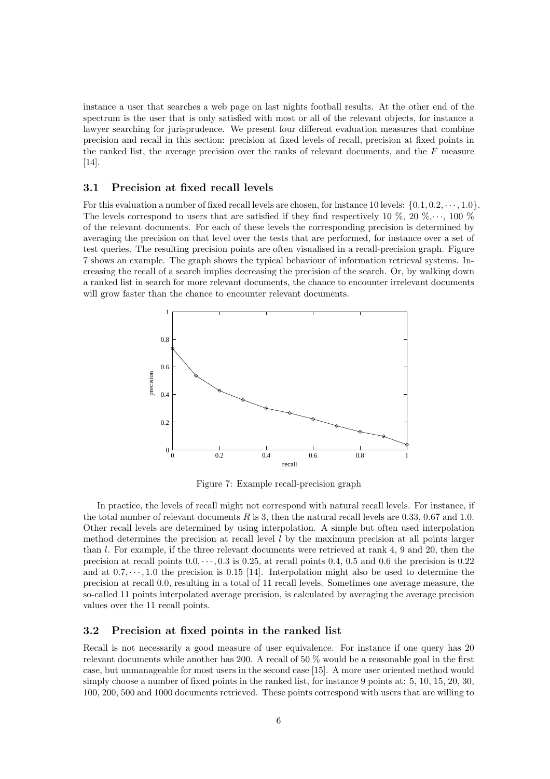instance a user that searches a web page on last nights football results. At the other end of the spectrum is the user that is only satisfied with most or all of the relevant objects, for instance a lawyer searching for jurisprudence. We present four different evaluation measures that combine precision and recall in this section: precision at fixed levels of recall, precision at fixed points in the ranked list, the average precision over the ranks of relevant documents, and the F measure [14].

### 3.1 Precision at fixed recall levels

For this evaluation a number of fixed recall levels are chosen, for instance 10 levels:  $\{0.1, 0.2, \dots, 1.0\}$ . The levels correspond to users that are satisfied if they find respectively 10 %, 20 %, $\cdots$ , 100 % of the relevant documents. For each of these levels the corresponding precision is determined by averaging the precision on that level over the tests that are performed, for instance over a set of test queries. The resulting precision points are often visualised in a recall-precision graph. Figure 7 shows an example. The graph shows the typical behaviour of information retrieval systems. Increasing the recall of a search implies decreasing the precision of the search. Or, by walking down a ranked list in search for more relevant documents, the chance to encounter irrelevant documents will grow faster than the chance to encounter relevant documents.



Figure 7: Example recall-precision graph

In practice, the levels of recall might not correspond with natural recall levels. For instance, if the total number of relevant documents  $R$  is 3, then the natural recall levels are 0.33, 0.67 and 1.0. Other recall levels are determined by using interpolation. A simple but often used interpolation method determines the precision at recall level  $l$  by the maximum precision at all points larger than l. For example, if the three relevant documents were retrieved at rank 4, 9 and 20, then the precision at recall points  $0.0, \dots, 0.3$  is 0.25, at recall points 0.4, 0.5 and 0.6 the precision is 0.22 and at  $0.7, \dots, 1.0$  the precision is 0.15 [14]. Interpolation might also be used to determine the precision at recall 0.0, resulting in a total of 11 recall levels. Sometimes one average measure, the so-called 11 points interpolated average precision, is calculated by averaging the average precision values over the 11 recall points.

#### 3.2 Precision at fixed points in the ranked list

Recall is not necessarily a good measure of user equivalence. For instance if one query has 20 relevant documents while another has 200. A recall of 50 % would be a reasonable goal in the first case, but unmanageable for most users in the second case [15]. A more user oriented method would simply choose a number of fixed points in the ranked list, for instance 9 points at: 5, 10, 15, 20, 30, 100, 200, 500 and 1000 documents retrieved. These points correspond with users that are willing to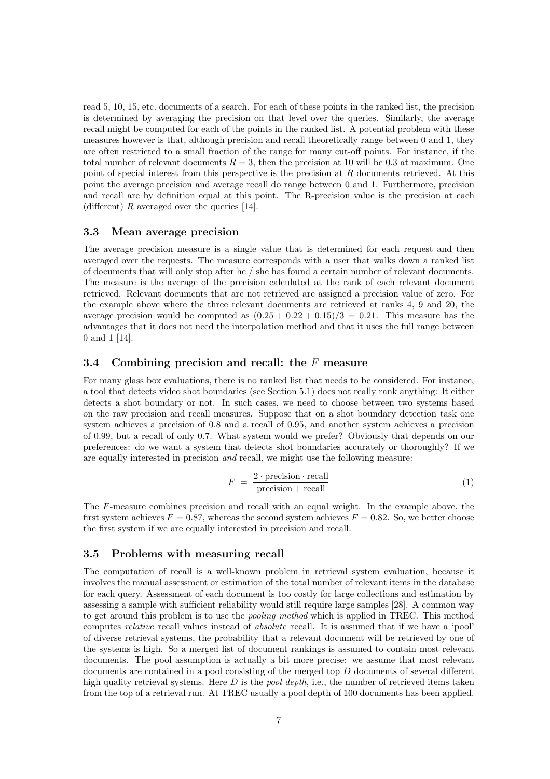read 5, 10, 15, etc. documents of a search. For each of these points in the ranked list, the precision is determined by averaging the precision on that level over the queries. Similarly, the average recall might be computed for each of the points in the ranked list. A potential problem with these measures however is that, although precision and recall theoretically range between 0 and 1, they are often restricted to a small fraction of the range for many cut-off points. For instance, if the total number of relevant documents  $R = 3$ , then the precision at 10 will be 0.3 at maximum. One point of special interest from this perspective is the precision at  $R$  documents retrieved. At this point the average precision and average recall do range between 0 and 1. Furthermore, precision and recall are by definition equal at this point. The R-precision value is the precision at each (different)  $R$  averaged over the queries [14].

#### 3.3 Mean average precision

The average precision measure is a single value that is determined for each request and then averaged over the requests. The measure corresponds with a user that walks down a ranked list of documents that will only stop after he / she has found a certain number of relevant documents. The measure is the average of the precision calculated at the rank of each relevant document retrieved. Relevant documents that are not retrieved are assigned a precision value of zero. For the example above where the three relevant documents are retrieved at ranks 4, 9 and 20, the average precision would be computed as  $(0.25 + 0.22 + 0.15)/3 = 0.21$ . This measure has the advantages that it does not need the interpolation method and that it uses the full range between 0 and 1 [14].

### 3.4 Combining precision and recall: the  $F$  measure

For many glass box evaluations, there is no ranked list that needs to be considered. For instance, a tool that detects video shot boundaries (see Section 5.1) does not really rank anything: It either detects a shot boundary or not. In such cases, we need to choose between two systems based on the raw precision and recall measures. Suppose that on a shot boundary detection task one system achieves a precision of 0.8 and a recall of 0.95, and another system achieves a precision of 0.99, but a recall of only 0.7. What system would we prefer? Obviously that depends on our preferences: do we want a system that detects shot boundaries accurately or thoroughly? If we are equally interested in precision and recall, we might use the following measure:

$$
F = \frac{2 \cdot \text{precision} \cdot \text{recall}}{\text{precision} + \text{recall}} \tag{1}
$$

The F-measure combines precision and recall with an equal weight. In the example above, the first system achieves  $F = 0.87$ , whereas the second system achieves  $F = 0.82$ . So, we better choose the first system if we are equally interested in precision and recall.

#### 3.5 Problems with measuring recall

The computation of recall is a well-known problem in retrieval system evaluation, because it involves the manual assessment or estimation of the total number of relevant items in the database for each query. Assessment of each document is too costly for large collections and estimation by assessing a sample with sufficient reliability would still require large samples [28]. A common way to get around this problem is to use the pooling method which is applied in TREC. This method computes relative recall values instead of absolute recall. It is assumed that if we have a 'pool' of diverse retrieval systems, the probability that a relevant document will be retrieved by one of the systems is high. So a merged list of document rankings is assumed to contain most relevant documents. The pool assumption is actually a bit more precise: we assume that most relevant documents are contained in a pool consisting of the merged top D documents of several different high quality retrieval systems. Here  $D$  is the *pool depth*, i.e., the number of retrieved items taken from the top of a retrieval run. At TREC usually a pool depth of 100 documents has been applied.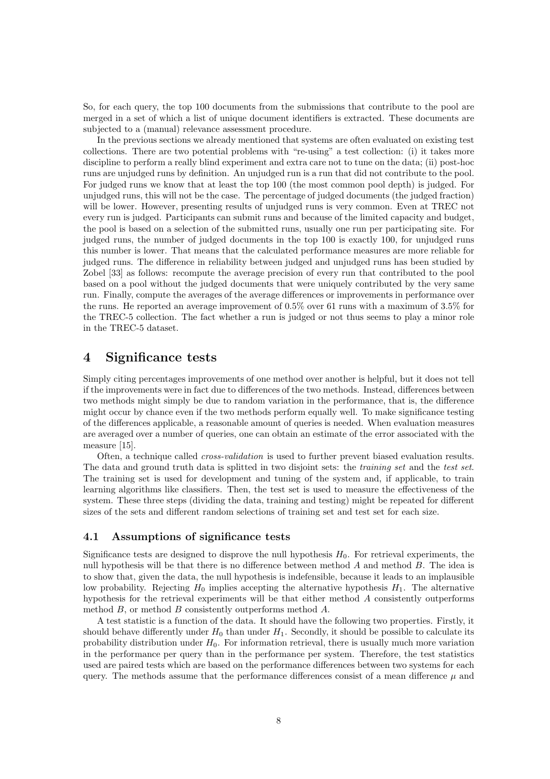So, for each query, the top 100 documents from the submissions that contribute to the pool are merged in a set of which a list of unique document identifiers is extracted. These documents are subjected to a (manual) relevance assessment procedure.

In the previous sections we already mentioned that systems are often evaluated on existing test collections. There are two potential problems with "re-using" a test collection: (i) it takes more discipline to perform a really blind experiment and extra care not to tune on the data; (ii) post-hoc runs are unjudged runs by definition. An unjudged run is a run that did not contribute to the pool. For judged runs we know that at least the top 100 (the most common pool depth) is judged. For unjudged runs, this will not be the case. The percentage of judged documents (the judged fraction) will be lower. However, presenting results of unjudged runs is very common. Even at TREC not every run is judged. Participants can submit runs and because of the limited capacity and budget, the pool is based on a selection of the submitted runs, usually one run per participating site. For judged runs, the number of judged documents in the top 100 is exactly 100, for unjudged runs this number is lower. That means that the calculated performance measures are more reliable for judged runs. The difference in reliability between judged and unjudged runs has been studied by Zobel [33] as follows: recompute the average precision of every run that contributed to the pool based on a pool without the judged documents that were uniquely contributed by the very same run. Finally, compute the averages of the average differences or improvements in performance over the runs. He reported an average improvement of 0.5% over 61 runs with a maximum of 3.5% for the TREC-5 collection. The fact whether a run is judged or not thus seems to play a minor role in the TREC-5 dataset.

# 4 Significance tests

Simply citing percentages improvements of one method over another is helpful, but it does not tell if the improvements were in fact due to differences of the two methods. Instead, differences between two methods might simply be due to random variation in the performance, that is, the difference might occur by chance even if the two methods perform equally well. To make significance testing of the differences applicable, a reasonable amount of queries is needed. When evaluation measures are averaged over a number of queries, one can obtain an estimate of the error associated with the measure [15].

Often, a technique called cross-validation is used to further prevent biased evaluation results. The data and ground truth data is splitted in two disjoint sets: the *training set* and the test set. The training set is used for development and tuning of the system and, if applicable, to train learning algorithms like classifiers. Then, the test set is used to measure the effectiveness of the system. These three steps (dividing the data, training and testing) might be repeated for different sizes of the sets and different random selections of training set and test set for each size.

### 4.1 Assumptions of significance tests

Significance tests are designed to disprove the null hypothesis  $H_0$ . For retrieval experiments, the null hypothesis will be that there is no difference between method A and method B. The idea is to show that, given the data, the null hypothesis is indefensible, because it leads to an implausible low probability. Rejecting  $H_0$  implies accepting the alternative hypothesis  $H_1$ . The alternative hypothesis for the retrieval experiments will be that either method A consistently outperforms method B, or method B consistently outperforms method A.

A test statistic is a function of the data. It should have the following two properties. Firstly, it should behave differently under  $H_0$  than under  $H_1$ . Secondly, it should be possible to calculate its probability distribution under  $H_0$ . For information retrieval, there is usually much more variation in the performance per query than in the performance per system. Therefore, the test statistics used are paired tests which are based on the performance differences between two systems for each query. The methods assume that the performance differences consist of a mean difference  $\mu$  and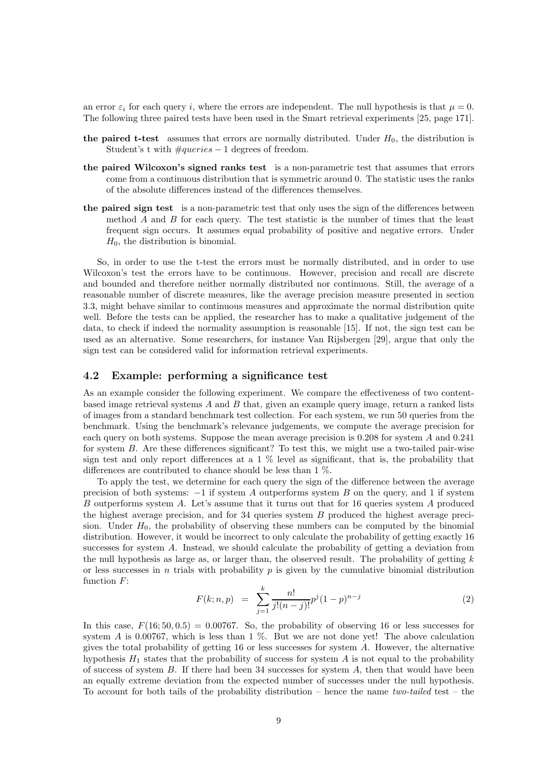an error  $\varepsilon_i$  for each query i, where the errors are independent. The null hypothesis is that  $\mu = 0$ . The following three paired tests have been used in the Smart retrieval experiments [25, page 171].

- the paired t-test assumes that errors are normally distributed. Under  $H_0$ , the distribution is Student's t with  $\#queries - 1$  degrees of freedom.
- the paired Wilcoxon's signed ranks test is a non-parametric test that assumes that errors come from a continuous distribution that is symmetric around 0. The statistic uses the ranks of the absolute differences instead of the differences themselves.
- the paired sign test is a non-parametric test that only uses the sign of the differences between method  $A$  and  $B$  for each query. The test statistic is the number of times that the least frequent sign occurs. It assumes equal probability of positive and negative errors. Under  $H_0$ , the distribution is binomial.

So, in order to use the t-test the errors must be normally distributed, and in order to use Wilcoxon's test the errors have to be continuous. However, precision and recall are discrete and bounded and therefore neither normally distributed nor continuous. Still, the average of a reasonable number of discrete measures, like the average precision measure presented in section 3.3, might behave similar to continuous measures and approximate the normal distribution quite well. Before the tests can be applied, the researcher has to make a qualitative judgement of the data, to check if indeed the normality assumption is reasonable [15]. If not, the sign test can be used as an alternative. Some researchers, for instance Van Rijsbergen [29], argue that only the sign test can be considered valid for information retrieval experiments.

#### 4.2 Example: performing a significance test

As an example consider the following experiment. We compare the effectiveness of two contentbased image retrieval systems  $A$  and  $B$  that, given an example query image, return a ranked lists of images from a standard benchmark test collection. For each system, we run 50 queries from the benchmark. Using the benchmark's relevance judgements, we compute the average precision for each query on both systems. Suppose the mean average precision is 0.208 for system A and 0.241 for system B. Are these differences significant? To test this, we might use a two-tailed pair-wise sign test and only report differences at a 1 % level as significant, that is, the probability that differences are contributed to chance should be less than 1 %.

To apply the test, we determine for each query the sign of the difference between the average precision of both systems:  $-1$  if system A outperforms system B on the query, and 1 if system B outperforms system A. Let's assume that it turns out that for 16 queries system A produced the highest average precision, and for 34 queries system B produced the highest average precision. Under  $H_0$ , the probability of observing these numbers can be computed by the binomial distribution. However, it would be incorrect to only calculate the probability of getting exactly 16 successes for system A. Instead, we should calculate the probability of getting a deviation from the null hypothesis as large as, or larger than, the observed result. The probability of getting  $k$ or less successes in  $n$  trials with probability  $p$  is given by the cumulative binomial distribution function  $F$ :

$$
F(k; n, p) = \sum_{j=1}^{k} \frac{n!}{j!(n-j)!} p^j (1-p)^{n-j}
$$
 (2)

In this case,  $F(16; 50, 0.5) = 0.00767$ . So, the probability of observing 16 or less successes for system  $A$  is 0.00767, which is less than 1 %. But we are not done yet! The above calculation gives the total probability of getting 16 or less successes for system A. However, the alternative hypothesis  $H_1$  states that the probability of success for system A is not equal to the probability of success of system  $B$ . If there had been 34 successes for system  $A$ , then that would have been an equally extreme deviation from the expected number of successes under the null hypothesis. To account for both tails of the probability distribution – hence the name two-tailed test – the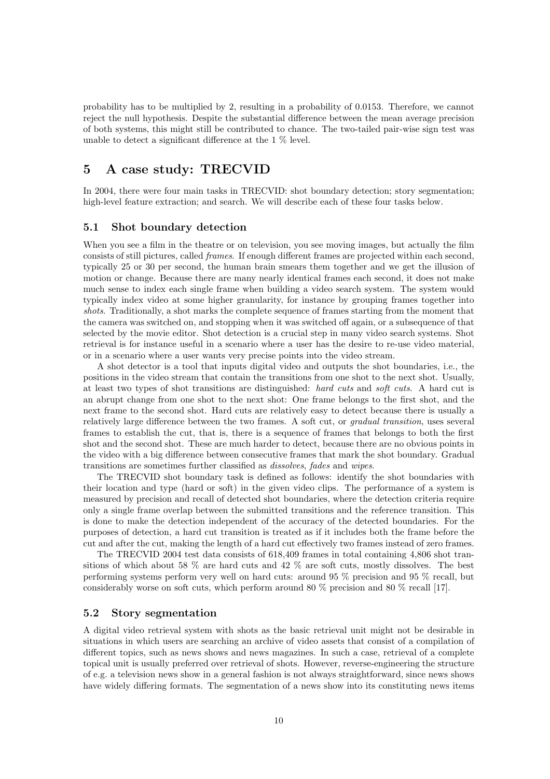probability has to be multiplied by 2, resulting in a probability of 0.0153. Therefore, we cannot reject the null hypothesis. Despite the substantial difference between the mean average precision of both systems, this might still be contributed to chance. The two-tailed pair-wise sign test was unable to detect a significant difference at the 1 % level.

# 5 A case study: TRECVID

In 2004, there were four main tasks in TRECVID: shot boundary detection; story segmentation; high-level feature extraction; and search. We will describe each of these four tasks below.

#### 5.1 Shot boundary detection

When you see a film in the theatre or on television, you see moving images, but actually the film consists of still pictures, called frames. If enough different frames are projected within each second, typically 25 or 30 per second, the human brain smears them together and we get the illusion of motion or change. Because there are many nearly identical frames each second, it does not make much sense to index each single frame when building a video search system. The system would typically index video at some higher granularity, for instance by grouping frames together into shots. Traditionally, a shot marks the complete sequence of frames starting from the moment that the camera was switched on, and stopping when it was switched off again, or a subsequence of that selected by the movie editor. Shot detection is a crucial step in many video search systems. Shot retrieval is for instance useful in a scenario where a user has the desire to re-use video material, or in a scenario where a user wants very precise points into the video stream.

A shot detector is a tool that inputs digital video and outputs the shot boundaries, i.e., the positions in the video stream that contain the transitions from one shot to the next shot. Usually, at least two types of shot transitions are distinguished: hard cuts and soft cuts. A hard cut is an abrupt change from one shot to the next shot: One frame belongs to the first shot, and the next frame to the second shot. Hard cuts are relatively easy to detect because there is usually a relatively large difference between the two frames. A soft cut, or gradual transition, uses several frames to establish the cut, that is, there is a sequence of frames that belongs to both the first shot and the second shot. These are much harder to detect, because there are no obvious points in the video with a big difference between consecutive frames that mark the shot boundary. Gradual transitions are sometimes further classified as dissolves, fades and wipes.

The TRECVID shot boundary task is defined as follows: identify the shot boundaries with their location and type (hard or soft) in the given video clips. The performance of a system is measured by precision and recall of detected shot boundaries, where the detection criteria require only a single frame overlap between the submitted transitions and the reference transition. This is done to make the detection independent of the accuracy of the detected boundaries. For the purposes of detection, a hard cut transition is treated as if it includes both the frame before the cut and after the cut, making the length of a hard cut effectively two frames instead of zero frames.

The TRECVID 2004 test data consists of 618,409 frames in total containing 4,806 shot transitions of which about 58 % are hard cuts and 42 % are soft cuts, mostly dissolves. The best performing systems perform very well on hard cuts: around 95 % precision and 95 % recall, but considerably worse on soft cuts, which perform around 80 % precision and 80 % recall [17].

#### 5.2 Story segmentation

A digital video retrieval system with shots as the basic retrieval unit might not be desirable in situations in which users are searching an archive of video assets that consist of a compilation of different topics, such as news shows and news magazines. In such a case, retrieval of a complete topical unit is usually preferred over retrieval of shots. However, reverse-engineering the structure of e.g. a television news show in a general fashion is not always straightforward, since news shows have widely differing formats. The segmentation of a news show into its constituting news items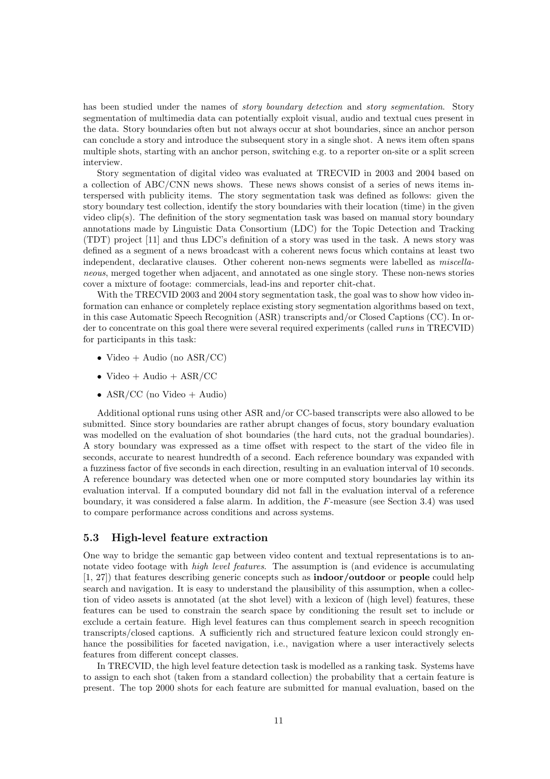has been studied under the names of *story boundary detection* and *story segmentation*. Story segmentation of multimedia data can potentially exploit visual, audio and textual cues present in the data. Story boundaries often but not always occur at shot boundaries, since an anchor person can conclude a story and introduce the subsequent story in a single shot. A news item often spans multiple shots, starting with an anchor person, switching e.g. to a reporter on-site or a split screen interview.

Story segmentation of digital video was evaluated at TRECVID in 2003 and 2004 based on a collection of ABC/CNN news shows. These news shows consist of a series of news items interspersed with publicity items. The story segmentation task was defined as follows: given the story boundary test collection, identify the story boundaries with their location (time) in the given video clip(s). The definition of the story segmentation task was based on manual story boundary annotations made by Linguistic Data Consortium (LDC) for the Topic Detection and Tracking (TDT) project [11] and thus LDC's definition of a story was used in the task. A news story was defined as a segment of a news broadcast with a coherent news focus which contains at least two independent, declarative clauses. Other coherent non-news segments were labelled as miscellaneous, merged together when adjacent, and annotated as one single story. These non-news stories cover a mixture of footage: commercials, lead-ins and reporter chit-chat.

With the TRECVID 2003 and 2004 story segmentation task, the goal was to show how video information can enhance or completely replace existing story segmentation algorithms based on text, in this case Automatic Speech Recognition (ASR) transcripts and/or Closed Captions (CC). In order to concentrate on this goal there were several required experiments (called runs in TRECVID) for participants in this task:

- Video + Audio (no  $ASR/CC$ )
- Video + Audio +  $\text{ASR/CC}$
- ASR/CC (no Video + Audio)

Additional optional runs using other ASR and/or CC-based transcripts were also allowed to be submitted. Since story boundaries are rather abrupt changes of focus, story boundary evaluation was modelled on the evaluation of shot boundaries (the hard cuts, not the gradual boundaries). A story boundary was expressed as a time offset with respect to the start of the video file in seconds, accurate to nearest hundredth of a second. Each reference boundary was expanded with a fuzziness factor of five seconds in each direction, resulting in an evaluation interval of 10 seconds. A reference boundary was detected when one or more computed story boundaries lay within its evaluation interval. If a computed boundary did not fall in the evaluation interval of a reference boundary, it was considered a false alarm. In addition, the F-measure (see Section 3.4) was used to compare performance across conditions and across systems.

#### 5.3 High-level feature extraction

One way to bridge the semantic gap between video content and textual representations is to annotate video footage with high level features. The assumption is (and evidence is accumulating [1, 27]) that features describing generic concepts such as indoor/outdoor or people could help search and navigation. It is easy to understand the plausibility of this assumption, when a collection of video assets is annotated (at the shot level) with a lexicon of (high level) features, these features can be used to constrain the search space by conditioning the result set to include or exclude a certain feature. High level features can thus complement search in speech recognition transcripts/closed captions. A sufficiently rich and structured feature lexicon could strongly enhance the possibilities for faceted navigation, i.e., navigation where a user interactively selects features from different concept classes.

In TRECVID, the high level feature detection task is modelled as a ranking task. Systems have to assign to each shot (taken from a standard collection) the probability that a certain feature is present. The top 2000 shots for each feature are submitted for manual evaluation, based on the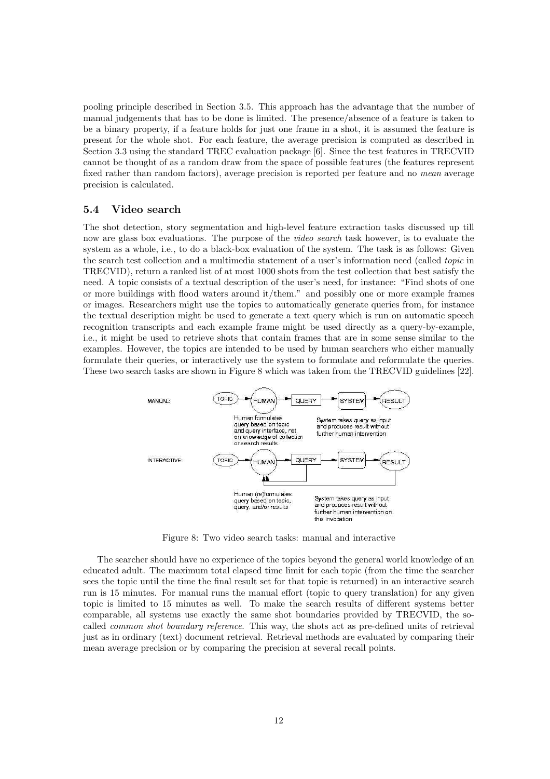pooling principle described in Section 3.5. This approach has the advantage that the number of manual judgements that has to be done is limited. The presence/absence of a feature is taken to be a binary property, if a feature holds for just one frame in a shot, it is assumed the feature is present for the whole shot. For each feature, the average precision is computed as described in Section 3.3 using the standard TREC evaluation package [6]. Since the test features in TRECVID cannot be thought of as a random draw from the space of possible features (the features represent fixed rather than random factors), average precision is reported per feature and no mean average precision is calculated.

#### 5.4 Video search

The shot detection, story segmentation and high-level feature extraction tasks discussed up till now are glass box evaluations. The purpose of the *video search* task however, is to evaluate the system as a whole, i.e., to do a black-box evaluation of the system. The task is as follows: Given the search test collection and a multimedia statement of a user's information need (called topic in TRECVID), return a ranked list of at most 1000 shots from the test collection that best satisfy the need. A topic consists of a textual description of the user's need, for instance: "Find shots of one or more buildings with flood waters around it/them." and possibly one or more example frames or images. Researchers might use the topics to automatically generate queries from, for instance the textual description might be used to generate a text query which is run on automatic speech recognition transcripts and each example frame might be used directly as a query-by-example, i.e., it might be used to retrieve shots that contain frames that are in some sense similar to the examples. However, the topics are intended to be used by human searchers who either manually formulate their queries, or interactively use the system to formulate and reformulate the queries. These two search tasks are shown in Figure 8 which was taken from the TRECVID guidelines [22].



Figure 8: Two video search tasks: manual and interactive

The searcher should have no experience of the topics beyond the general world knowledge of an educated adult. The maximum total elapsed time limit for each topic (from the time the searcher sees the topic until the time the final result set for that topic is returned) in an interactive search run is 15 minutes. For manual runs the manual effort (topic to query translation) for any given topic is limited to 15 minutes as well. To make the search results of different systems better comparable, all systems use exactly the same shot boundaries provided by TRECVID, the socalled *common shot boundary reference*. This way, the shots act as pre-defined units of retrieval just as in ordinary (text) document retrieval. Retrieval methods are evaluated by comparing their mean average precision or by comparing the precision at several recall points.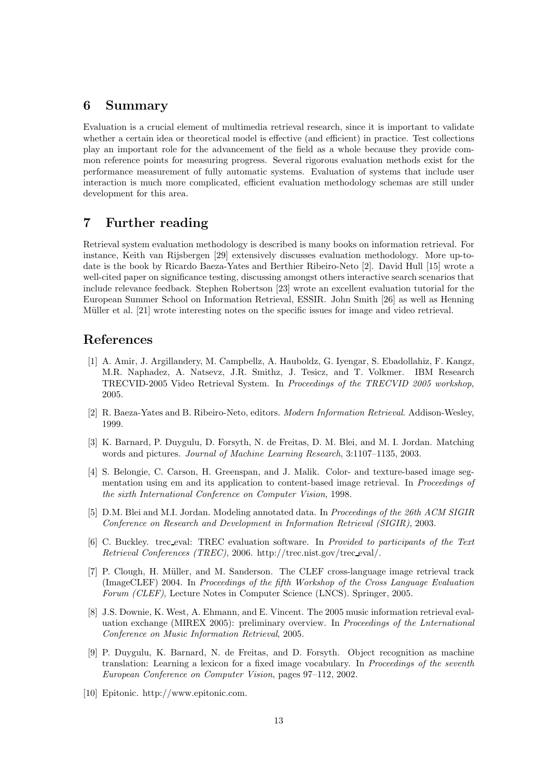# 6 Summary

Evaluation is a crucial element of multimedia retrieval research, since it is important to validate whether a certain idea or theoretical model is effective (and efficient) in practice. Test collections play an important role for the advancement of the field as a whole because they provide common reference points for measuring progress. Several rigorous evaluation methods exist for the performance measurement of fully automatic systems. Evaluation of systems that include user interaction is much more complicated, efficient evaluation methodology schemas are still under development for this area.

# 7 Further reading

Retrieval system evaluation methodology is described is many books on information retrieval. For instance, Keith van Rijsbergen [29] extensively discusses evaluation methodology. More up-todate is the book by Ricardo Baeza-Yates and Berthier Ribeiro-Neto [2]. David Hull [15] wrote a well-cited paper on significance testing, discussing amongst others interactive search scenarios that include relevance feedback. Stephen Robertson [23] wrote an excellent evaluation tutorial for the European Summer School on Information Retrieval, ESSIR. John Smith [26] as well as Henning Müller et al. [21] wrote interesting notes on the specific issues for image and video retrieval.

# References

- [1] A. Amir, J. Argillandery, M. Campbellz, A. Hauboldz, G. Iyengar, S. Ebadollahiz, F. Kangz, M.R. Naphadez, A. Natsevz, J.R. Smithz, J. Tesicz, and T. Volkmer. IBM Research TRECVID-2005 Video Retrieval System. In Proceedings of the TRECVID 2005 workshop, 2005.
- [2] R. Baeza-Yates and B. Ribeiro-Neto, editors. Modern Information Retrieval. Addison-Wesley, 1999.
- [3] K. Barnard, P. Duygulu, D. Forsyth, N. de Freitas, D. M. Blei, and M. I. Jordan. Matching words and pictures. Journal of Machine Learning Research, 3:1107–1135, 2003.
- [4] S. Belongie, C. Carson, H. Greenspan, and J. Malik. Color- and texture-based image segmentation using em and its application to content-based image retrieval. In *Proceedings of* the sixth International Conference on Computer Vision, 1998.
- [5] D.M. Blei and M.I. Jordan. Modeling annotated data. In *Proceedings of the 26th ACM SIGIR* Conference on Research and Development in Information Retrieval (SIGIR), 2003.
- [6] C. Buckley. trec eval: TREC evaluation software. In Provided to participants of the Text Retrieval Conferences (TREC), 2006. http://trec.nist.gov/trec eval/.
- [7] P. Clough, H. M¨uller, and M. Sanderson. The CLEF cross-language image retrieval track (ImageCLEF) 2004. In Proceedings of the fifth Workshop of the Cross Language Evaluation Forum (CLEF), Lecture Notes in Computer Science (LNCS). Springer, 2005.
- [8] J.S. Downie, K. West, A. Ehmann, and E. Vincent. The 2005 music information retrieval evaluation exchange (MIREX 2005): preliminary overview. In Proceedings of the Lnternational Conference on Music Information Retrieval, 2005.
- [9] P. Duygulu, K. Barnard, N. de Freitas, and D. Forsyth. Object recognition as machine translation: Learning a lexicon for a fixed image vocabulary. In Proceedings of the seventh European Conference on Computer Vision, pages 97–112, 2002.
- [10] Epitonic. http://www.epitonic.com.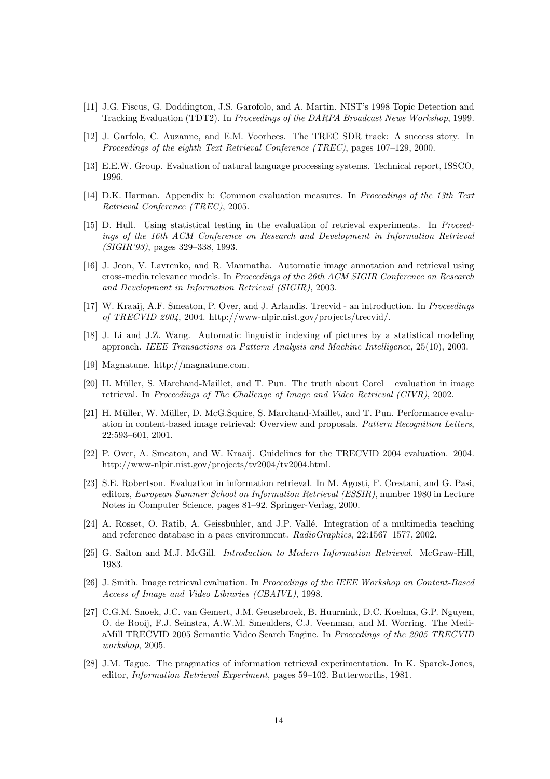- [11] J.G. Fiscus, G. Doddington, J.S. Garofolo, and A. Martin. NIST's 1998 Topic Detection and Tracking Evaluation (TDT2). In Proceedings of the DARPA Broadcast News Workshop, 1999.
- [12] J. Garfolo, C. Auzanne, and E.M. Voorhees. The TREC SDR track: A success story. In Proceedings of the eighth Text Retrieval Conference (TREC), pages 107–129, 2000.
- [13] E.E.W. Group. Evaluation of natural language processing systems. Technical report, ISSCO, 1996.
- [14] D.K. Harman. Appendix b: Common evaluation measures. In Proceedings of the 13th Text Retrieval Conference (TREC), 2005.
- [15] D. Hull. Using statistical testing in the evaluation of retrieval experiments. In Proceedings of the 16th ACM Conference on Research and Development in Information Retrieval (SIGIR'93), pages 329–338, 1993.
- [16] J. Jeon, V. Lavrenko, and R. Manmatha. Automatic image annotation and retrieval using cross-media relevance models. In Proceedings of the 26th ACM SIGIR Conference on Research and Development in Information Retrieval (SIGIR), 2003.
- [17] W. Kraaij, A.F. Smeaton, P. Over, and J. Arlandis. Trecvid an introduction. In Proceedings of TRECVID 2004, 2004. http://www-nlpir.nist.gov/projects/trecvid/.
- [18] J. Li and J.Z. Wang. Automatic linguistic indexing of pictures by a statistical modeling approach. IEEE Transactions on Pattern Analysis and Machine Intelligence, 25(10), 2003.
- [19] Magnatune. http://magnatune.com.
- [20] H. Müller, S. Marchand-Maillet, and T. Pun. The truth about Corel evaluation in image retrieval. In Proceedings of The Challenge of Image and Video Retrieval (CIVR), 2002.
- [21] H. Müller, W. Müller, D. McG.Squire, S. Marchand-Maillet, and T. Pun. Performance evaluation in content-based image retrieval: Overview and proposals. Pattern Recognition Letters, 22:593–601, 2001.
- [22] P. Over, A. Smeaton, and W. Kraaij. Guidelines for the TRECVID 2004 evaluation. 2004. http://www-nlpir.nist.gov/projects/tv2004/tv2004.html.
- [23] S.E. Robertson. Evaluation in information retrieval. In M. Agosti, F. Crestani, and G. Pasi, editors, European Summer School on Information Retrieval (ESSIR), number 1980 in Lecture Notes in Computer Science, pages 81–92. Springer-Verlag, 2000.
- [24] A. Rosset, O. Ratib, A. Geissbuhler, and J.P. Vallé. Integration of a multimedia teaching and reference database in a pacs environment. RadioGraphics, 22:1567–1577, 2002.
- [25] G. Salton and M.J. McGill. Introduction to Modern Information Retrieval. McGraw-Hill, 1983.
- [26] J. Smith. Image retrieval evaluation. In Proceedings of the IEEE Workshop on Content-Based Access of Image and Video Libraries (CBAIVL), 1998.
- [27] C.G.M. Snoek, J.C. van Gemert, J.M. Geusebroek, B. Huurnink, D.C. Koelma, G.P. Nguyen, O. de Rooij, F.J. Seinstra, A.W.M. Smeulders, C.J. Veenman, and M. Worring. The MediaMill TRECVID 2005 Semantic Video Search Engine. In Proceedings of the 2005 TRECVID workshop, 2005.
- [28] J.M. Tague. The pragmatics of information retrieval experimentation. In K. Sparck-Jones, editor, Information Retrieval Experiment, pages 59–102. Butterworths, 1981.